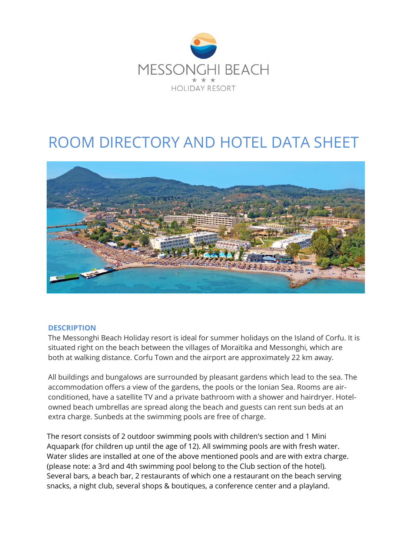

# ROOM DIRECTORY AND HOTEL DATA SHEET



#### **DESCRIPTION**

The Messonghi Beach Holiday resort is ideal for summer holidays on the Island of Corfu. It is situated right on the beach between the villages of Moraïtika and Messonghi, which are both at walking distance. Corfu Town and the airport are approximately 22 km away.

All buildings and bungalows are surrounded by pleasant gardens which lead to the sea. The accommodation offers a view of the gardens, the pools or the Ionian Sea. Rooms are airconditioned, have a satellite TV and a private bathroom with a shower and hairdryer. Hotelowned beach umbrellas are spread along the beach and guests can rent sun beds at an extra charge. Sunbeds at the swimming pools are free of charge.

The resort consists of 2 outdoor swimming pools with children's section and 1 Mini Aquapark (for children up until the age of 12). All swimming pools are with fresh water. Water slides are installed at one of the above mentioned pools and are with extra charge. (please note: a 3rd and 4th swimming pool belong to the Club section of the hotel). Several bars, a beach bar, 2 restaurants of which one a restaurant on the beach serving snacks, a night club, several shops & boutiques, a conference center and a playland.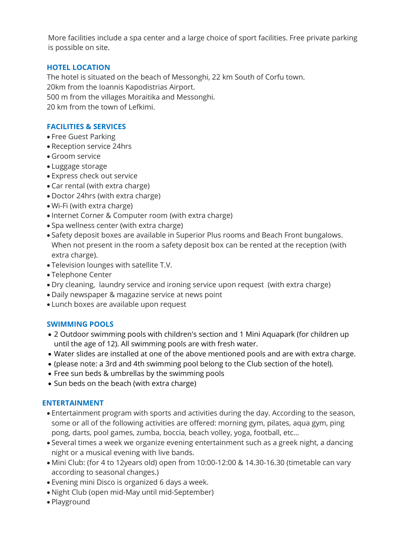More facilities include a spa center and a large choice of sport facilities. Free private parking is possible on site.

## **HOTEL LOCATION**

The hotel is situated on the beach of Messonghi, 22 km South of Corfu town. 20km from the Ioannis Kapodistrias Airport. 500 m from the villages Moraitika and Messonghi. 20 km from the town of Lefkimi.

#### **FACILITIES & SERVICES**

- Free Guest Parking
- Reception service 24hrs
- Groom service
- Luggage storage
- Express check out service
- Car rental (with extra charge)
- Doctor 24hrs (with extra charge)
- Wi-Fi (with extra charge)
- Internet Corner & Computer room (with extra charge)
- Spa wellness center (with extra charge)
- Safety deposit boxes are available in Superior Plus rooms and Beach Front bungalows. When not present in the room a safety deposit box can be rented at the reception (with extra charge).
- Television lounges with satellite T.V.
- Telephone Center
- Dry cleaning, laundry service and ironing service upon request (with extra charge)
- Daily newspaper & magazine service at news point
- Lunch boxes are available upon request

#### **SWIMMING POOLS**

- 2 Outdoor swimming pools with children's section and 1 Mini Aquapark (for children up until the age of 12). All swimming pools are with fresh water.
- Water slides are installed at one of the above mentioned pools and are with extra charge.
- (please note: a 3rd and 4th swimming pool belong to the Club section of the hotel).
- Free sun beds & umbrellas by the swimming pools
- Sun beds on the beach (with extra charge)

#### **ENTERTAINMENT**

- Entertainment program with sports and activities during the day. According to the season, some or all of the following activities are offered: morning gym, pilates, aqua gym, ping pong, darts, pool games, zumba, boccia, beach volley, yoga, football, etc…
- Several times a week we organize evening entertainment such as a greek night, a dancing night or a musical evening with live bands.
- Mini Club: (for 4 to 12years old) open from 10:00-12:00 & 14.30-16.30 (timetable can vary according to seasonal changes.)
- Evening mini Disco is organized 6 days a week.
- Night Club (open mid-May until mid-September)
- Playground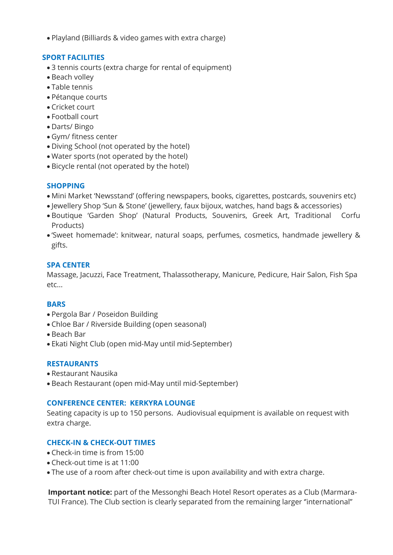Playland (Billiards & video games with extra charge)

#### **SPORT FACILITIES**

- 3 tennis courts (extra charge for rental of equipment)
- Beach volley
- Table tennis
- Pétanque courts
- Cricket court
- Football court
- Darts/ Bingo
- Gym/ fitness center
- Diving School (not operated by the hotel)
- Water sports (not operated by the hotel)
- Bicycle rental (not operated by the hotel)

## **SHOPPING**

- Mini Market 'Newsstand' (offering newspapers, books, cigarettes, postcards, souvenirs etc)
- Jewellery Shop 'Sun & Stone' (jewellery, faux bijoux, watches, hand bags & accessories)
- Boutique 'Garden Shop' (Natural Products, Souvenirs, Greek Art, Traditional Corfu Products)
- 'Sweet homemade': knitwear, natural soaps, perfumes, cosmetics, handmade jewellery & gifts.

#### **SPA CENTER**

Massage, Jacuzzi, Face Treatment, Thalassotherapy, Manicure, Pedicure, Hair Salon, Fish Spa etc...

#### **BARS**

- Pergola Bar / Poseidon Building
- Chloe Bar / Riverside Building (open seasonal)
- Beach Bar
- Ekati Night Club (open mid-May until mid-September)

#### **RESTAURANTS**

- Restaurant Nausika
- Beach Restaurant (open mid-May until mid-September)

#### **CONFERENCE CENTER: KERKYRA LOUNGE**

Seating capacity is up to 150 persons. Audiovisual equipment is available on request with extra charge.

#### **CHECK-IN & CHECK-OUT TIMES**

- Check-in time is from 15:00
- Check-out time is at 11:00
- The use of a room after check-out time is upon availability and with extra charge.

**Important notice:** part of the Messonghi Beach Hotel Resort operates as a Club (Marmara-TUI France). The Club section is clearly separated from the remaining larger ''international''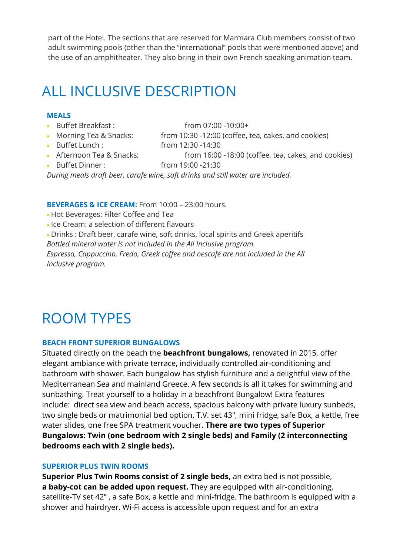part of the Hotel. The sections that are reserved for Marmara Club members consist of two adult swimming pools (other than the ''international'' pools that were mentioned above) and the use of an amphitheater. They also bring in their own French speaking animation team.

## ALL INCLUSIVE DESCRIPTION

#### **MEALS**

Buffet Breakfast : from 07:00 -10:00+

Buffet Lunch : from 12:30 -14:30

• Morning Tea & Snacks: from 10:30 -12:00 (coffee, tea, cakes, and cookies) Afternoon Tea & Snacks: from 16:00 -18:00 (coffee, tea, cakes, and cookies)

Buffet Dinner : from 19:00 -21:30

*During meals draft beer, carafe wine, soft drinks and still water are included.*

#### **BEVERAGES & ICE CREAM:** From 10:00 – 23:00 hours.

- Hot Beverages: Filter Coffee and Tea
- Ice Cream: a selection of different flavours

 Drinks : Draft beer, carafe wine, soft drinks, local spirits and Greek aperitifs *Bottled mineral water is not included in the All Inclusive program. Espresso, Cappuccino, Fredo, Greek coffee and nescafé are not included in the All Inclusive program.*

## ROOM TYPES

#### **BEACH FRONT SUPERIOR BUNGALOWS**

Situated directly on the beach the **beachfront bungalows,** renovated in 2015, offer elegant ambiance with private terrace, individually controlled air-conditioning and bathroom with shower. Each bungalow has stylish furniture and a delightful view of the Mediterranean Sea and mainland Greece. A few seconds is all it takes for swimming and sunbathing. Treat yourself to a holiday in a beachfront Bungalow! Extra features include: direct sea view and beach access, spacious balcony with private luxury sunbeds, two single beds or matrimonial bed option, T.V. set 43″, mini fridge, safe Box, a kettle, free water slides, one free SPA treatment voucher. **There are two types of Superior Bungalows: Twin (one bedroom with 2 single beds) and Family (2 interconnecting bedrooms each with 2 single beds).** 

#### **SUPERIOR PLUS TWIN ROOMS**

**Superior Plus Twin Rooms consist of 2 single beds,** an extra bed is not possible, **a baby-cot can be added upon request.** They are equipped with air-conditioning, satellite-TV set 42" , a safe Box, a kettle and mini-fridge. The bathroom is equipped with a shower and hairdryer. Wi-Fi access is accessible upon request and for an extra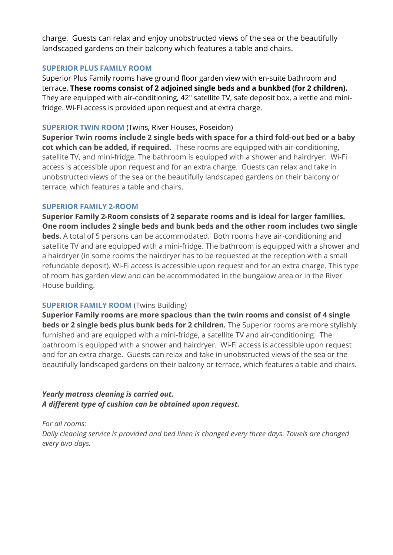charge. Guests can relax and enjoy unobstructed views of the sea or the beautifully landscaped gardens on their balcony which features a table and chairs.

#### **SUPERIOR PLUS FAMILY ROOM**

Superior Plus Family rooms have ground floor garden view with en-suite bathroom and terrace. **These rooms consist of 2 adjoined single beds and a bunkbed (for 2 children).** They are equipped with air-conditioning, 42″ satellite TV, safe deposit box, a kettle and minifridge. Wi-Fi access is provided upon request and at extra charge.

## **SUPERIOR TWIN ROOM** (Twins, River Houses, Poseidon)

**Superior Twin rooms include 2 single beds with space for a third fold-out bed or a baby cot which can be added, if required.** These rooms are equipped with air-conditioning, satellite TV, and mini-fridge. The bathroom is equipped with a shower and hairdryer. Wi-Fi access is accessible upon request and for an extra charge. Guests can relax and take in unobstructed views of the sea or the beautifully landscaped gardens on their balcony or terrace, which features a table and chairs.

## **SUPERIOR FAMILY 2-ROOM**

**Superior Family 2-Room consists of 2 separate rooms and is ideal for larger families. One room includes 2 single beds and bunk beds and the other room includes two single beds.** A total of 5 persons can be accommodated. Both rooms have air-conditioning and satellite TV and are equipped with a mini-fridge. The bathroom is equipped with a shower and a hairdryer (in some rooms the hairdryer has to be requested at the reception with a small refundable deposit). Wi-Fi access is accessible upon request and for an extra charge. This type of room has garden view and can be accommodated in the bungalow area or in the River House building.

## **SUPERIOR FAMILY ROOM (Twins Building)**

**Superior Family rooms are more spacious than the twin rooms and consist of 4 single beds or 2 single beds plus bunk beds for 2 children.** The Superior rooms are more stylishly furnished and are equipped with a mini-fridge, a satellite TV and air-conditioning. The bathroom is equipped with a shower and hairdryer. Wi-Fi access is accessible upon request and for an extra charge. Guests can relax and take in unobstructed views of the sea or the beautifully landscaped gardens on their balcony or terrace, which features a table and chairs.

## *Yearly matrass cleaning is carried out. A different type of cushion can be obtained upon request.*

*For all rooms:*

*Daily cleaning service is provided and bed linen is changed every three days. Towels are changed every two days.*